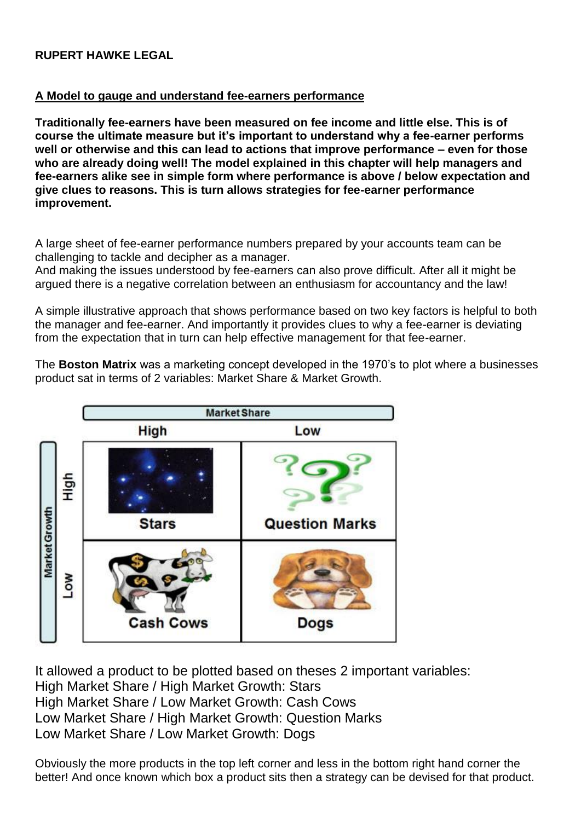## **RUPERT HAWKE LEGAL**

## **A Model to gauge and understand fee-earners performance**

**Traditionally fee-earners have been measured on fee income and little else. This is of course the ultimate measure but it's important to understand why a fee-earner performs well or otherwise and this can lead to actions that improve performance – even for those who are already doing well! The model explained in this chapter will help managers and fee-earners alike see in simple form where performance is above / below expectation and give clues to reasons. This is turn allows strategies for fee-earner performance improvement.**

A large sheet of fee-earner performance numbers prepared by your accounts team can be challenging to tackle and decipher as a manager.

And making the issues understood by fee-earners can also prove difficult. After all it might be argued there is a negative correlation between an enthusiasm for accountancy and the law!

A simple illustrative approach that shows performance based on two key factors is helpful to both the manager and fee-earner. And importantly it provides clues to why a fee-earner is deviating from the expectation that in turn can help effective management for that fee-earner.

The **Boston Matrix** was a marketing concept developed in the 1970's to plot where a businesses product sat in terms of 2 variables: Market Share & Market Growth.



It allowed a product to be plotted based on theses 2 important variables: High Market Share / High Market Growth: Stars High Market Share / Low Market Growth: Cash Cows Low Market Share / High Market Growth: Question Marks Low Market Share / Low Market Growth: Dogs

Obviously the more products in the top left corner and less in the bottom right hand corner the better! And once known which box a product sits then a strategy can be devised for that product.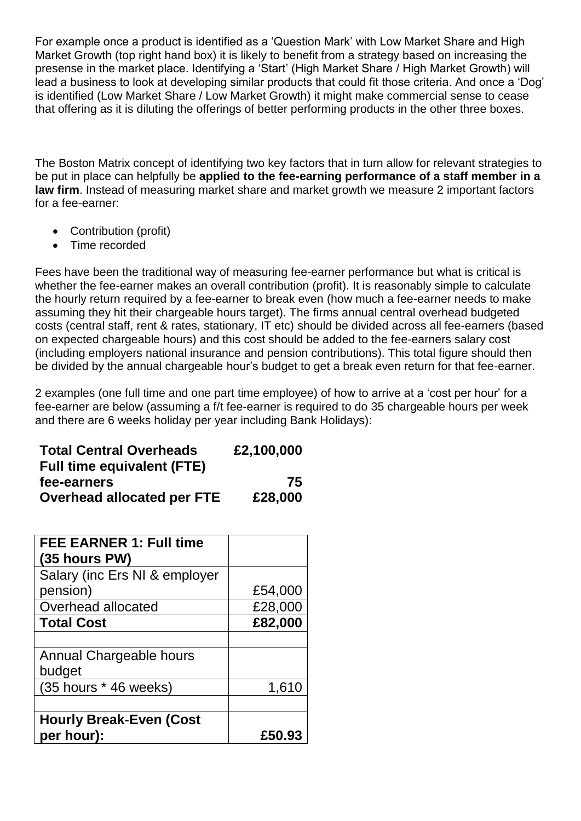For example once a product is identified as a 'Question Mark' with Low Market Share and High Market Growth (top right hand box) it is likely to benefit from a strategy based on increasing the presense in the market place. Identifying a 'Start' (High Market Share / High Market Growth) will lead a business to look at developing similar products that could fit those criteria. And once a 'Dog' is identified (Low Market Share / Low Market Growth) it might make commercial sense to cease that offering as it is diluting the offerings of better performing products in the other three boxes.

The Boston Matrix concept of identifying two key factors that in turn allow for relevant strategies to be put in place can helpfully be **applied to the fee-earning performance of a staff member in a law firm**. Instead of measuring market share and market growth we measure 2 important factors for a fee-earner:

- Contribution (profit)
- Time recorded

Fees have been the traditional way of measuring fee-earner performance but what is critical is whether the fee-earner makes an overall contribution (profit). It is reasonably simple to calculate the hourly return required by a fee-earner to break even (how much a fee-earner needs to make assuming they hit their chargeable hours target). The firms annual central overhead budgeted costs (central staff, rent & rates, stationary, IT etc) should be divided across all fee-earners (based on expected chargeable hours) and this cost should be added to the fee-earners salary cost (including employers national insurance and pension contributions). This total figure should then be divided by the annual chargeable hour's budget to get a break even return for that fee-earner.

2 examples (one full time and one part time employee) of how to arrive at a 'cost per hour' for a fee-earner are below (assuming a f/t fee-earner is required to do 35 chargeable hours per week and there are 6 weeks holiday per year including Bank Holidays):

| <b>Total Central Overheads</b>    | £2,100,000 |
|-----------------------------------|------------|
| <b>Full time equivalent (FTE)</b> |            |
| fee-earners                       | 75         |
| <b>Overhead allocated per FTE</b> | £28,000    |

| <b>FEE EARNER 1: Full time</b><br>$(35$ hours PW) |         |
|---------------------------------------------------|---------|
| Salary (inc Ers NI & employer                     |         |
| pension)                                          | £54,000 |
| Overhead allocated                                | £28,000 |
| <b>Total Cost</b>                                 | £82,000 |
|                                                   |         |
| Annual Chargeable hours                           |         |
| budget                                            |         |
| (35 hours * 46 weeks)                             | 1,610   |
|                                                   |         |
| <b>Hourly Break-Even (Cost</b>                    |         |
| per hour):                                        | £50.93  |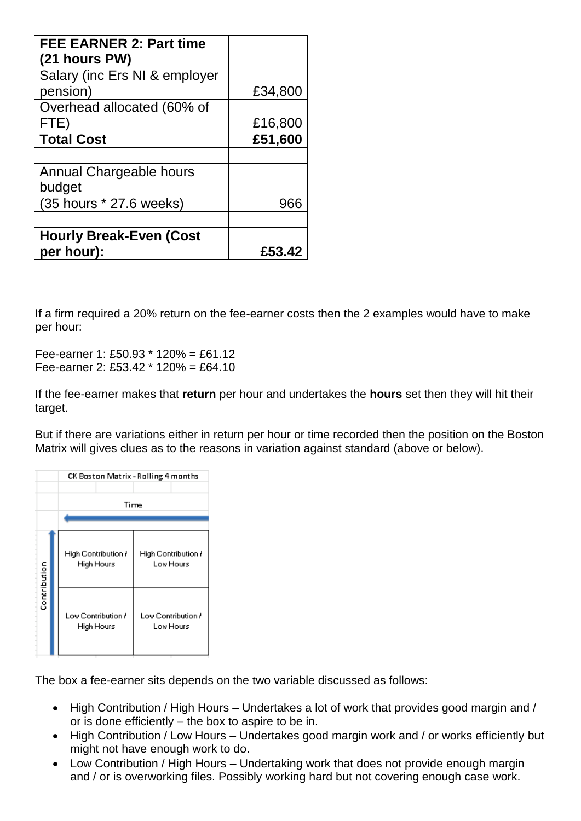| <b>FEE EARNER 2: Part time</b><br>(21 hours PW) |         |
|-------------------------------------------------|---------|
| Salary (inc Ers NI & employer                   |         |
| pension)                                        | £34,800 |
| Overhead allocated (60% of                      |         |
| FTE)                                            | £16,800 |
| <b>Total Cost</b>                               | £51,600 |
|                                                 |         |
| Annual Chargeable hours                         |         |
| budget                                          |         |
| (35 hours * 27.6 weeks)                         | 966     |
|                                                 |         |
| <b>Hourly Break-Even (Cost</b>                  |         |
| per hour):                                      | £53.42  |

If a firm required a 20% return on the fee-earner costs then the 2 examples would have to make per hour:

Fee-earner 1: £50.93 \* 120% = £61.12 Fee-earner 2: £53.42 \* 120% = £64.10

If the fee-earner makes that **return** per hour and undertakes the **hours** set then they will hit their target.

But if there are variations either in return per hour or time recorded then the position on the Boston Matrix will gives clues as to the reasons in variation against standard (above or below).



The box a fee-earner sits depends on the two variable discussed as follows:

- High Contribution / High Hours Undertakes a lot of work that provides good margin and / or is done efficiently – the box to aspire to be in.
- High Contribution / Low Hours Undertakes good margin work and / or works efficiently but might not have enough work to do.
- Low Contribution / High Hours Undertaking work that does not provide enough margin and / or is overworking files. Possibly working hard but not covering enough case work.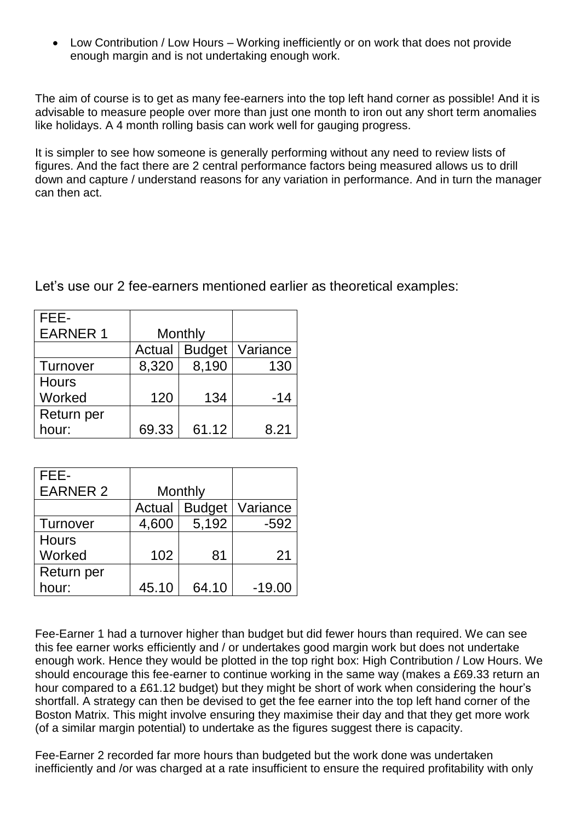• Low Contribution / Low Hours – Working inefficiently or on work that does not provide enough margin and is not undertaking enough work.

The aim of course is to get as many fee-earners into the top left hand corner as possible! And it is advisable to measure people over more than just one month to iron out any short term anomalies like holidays. A 4 month rolling basis can work well for gauging progress.

It is simpler to see how someone is generally performing without any need to review lists of figures. And the fact there are 2 central performance factors being measured allows us to drill down and capture / understand reasons for any variation in performance. And in turn the manager can then act.

Let's use our 2 fee-earners mentioned earlier as theoretical examples:

| FEE-            |         |               |          |
|-----------------|---------|---------------|----------|
| <b>EARNER 1</b> | Monthly |               |          |
|                 | Actual  | <b>Budget</b> | Variance |
| Turnover        | 8,320   | 8,190         | 130      |
| <b>Hours</b>    |         |               |          |
| Worked          | 120     | 134           | -14      |
| Return per      |         |               |          |
| hour:           | 69.33   | 61.12         | 8.21     |

| FEE-            |         |               |          |
|-----------------|---------|---------------|----------|
| <b>EARNER 2</b> | Monthly |               |          |
|                 | Actual  | <b>Budget</b> | Variance |
| Turnover        | 4,600   | 5,192         | $-592$   |
| <b>Hours</b>    |         |               |          |
| Worked          | 102     | 81            | 21       |
| Return per      |         |               |          |
| hour:           | 45.10   | 64.10         | $-19.00$ |

Fee-Earner 1 had a turnover higher than budget but did fewer hours than required. We can see this fee earner works efficiently and / or undertakes good margin work but does not undertake enough work. Hence they would be plotted in the top right box: High Contribution / Low Hours. We should encourage this fee-earner to continue working in the same way (makes a £69.33 return an hour compared to a £61.12 budget) but they might be short of work when considering the hour's shortfall. A strategy can then be devised to get the fee earner into the top left hand corner of the Boston Matrix. This might involve ensuring they maximise their day and that they get more work (of a similar margin potential) to undertake as the figures suggest there is capacity.

Fee-Earner 2 recorded far more hours than budgeted but the work done was undertaken inefficiently and /or was charged at a rate insufficient to ensure the required profitability with only